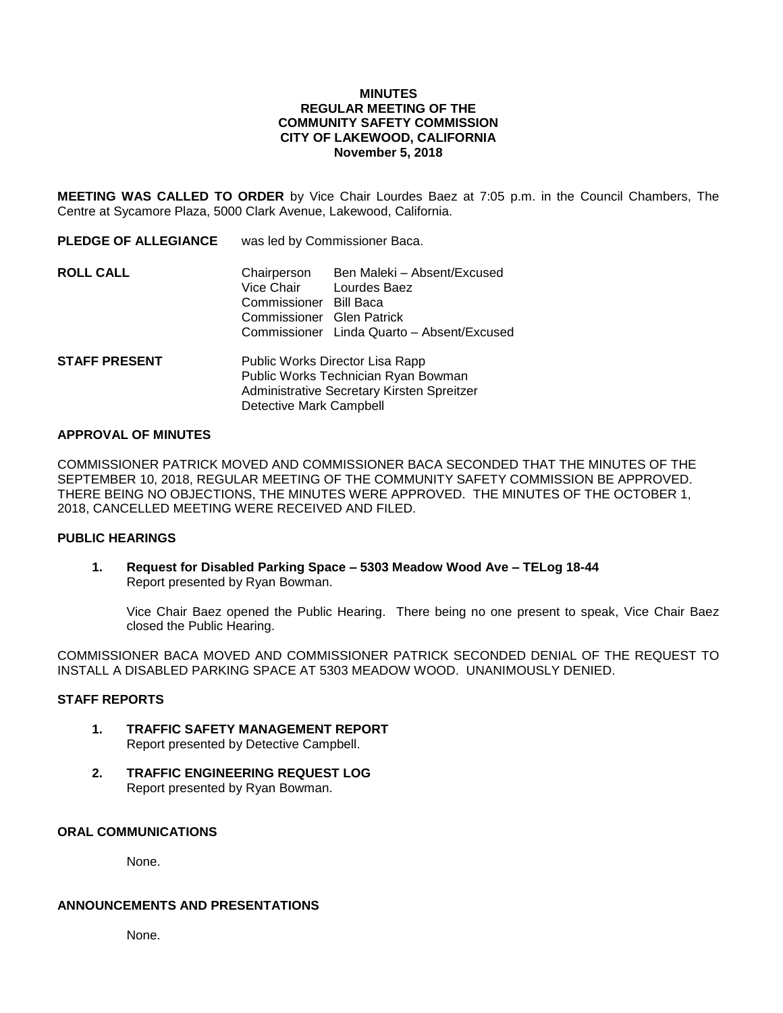## **MINUTES REGULAR MEETING OF THE COMMUNITY SAFETY COMMISSION CITY OF LAKEWOOD, CALIFORNIA November 5, 2018**

**MEETING WAS CALLED TO ORDER** by Vice Chair Lourdes Baez at 7:05 p.m. in the Council Chambers, The Centre at Sycamore Plaza, 5000 Clark Avenue, Lakewood, California.

| <b>PLEDGE OF ALLEGIANCE</b> | was led by Commissioner Baca.                                                                                                                   |                                                                                           |
|-----------------------------|-------------------------------------------------------------------------------------------------------------------------------------------------|-------------------------------------------------------------------------------------------|
| <b>ROLL CALL</b>            | Chairperson<br>Vice Chair<br>Commissioner Bill Baca<br>Commissioner Glen Patrick                                                                | Ben Maleki - Absent/Excused<br>Lourdes Baez<br>Commissioner Linda Quarto - Absent/Excused |
| <b>STAFF PRESENT</b>        | Public Works Director Lisa Rapp<br>Public Works Technician Ryan Bowman<br>Administrative Secretary Kirsten Spreitzer<br>Detective Mark Campbell |                                                                                           |

### **APPROVAL OF MINUTES**

COMMISSIONER PATRICK MOVED AND COMMISSIONER BACA SECONDED THAT THE MINUTES OF THE SEPTEMBER 10, 2018, REGULAR MEETING OF THE COMMUNITY SAFETY COMMISSION BE APPROVED. THERE BEING NO OBJECTIONS, THE MINUTES WERE APPROVED. THE MINUTES OF THE OCTOBER 1, 2018, CANCELLED MEETING WERE RECEIVED AND FILED.

### **PUBLIC HEARINGS**

**1. Request for Disabled Parking Space – 5303 Meadow Wood Ave – TELog 18-44** Report presented by Ryan Bowman.

Vice Chair Baez opened the Public Hearing. There being no one present to speak, Vice Chair Baez closed the Public Hearing.

COMMISSIONER BACA MOVED AND COMMISSIONER PATRICK SECONDED DENIAL OF THE REQUEST TO INSTALL A DISABLED PARKING SPACE AT 5303 MEADOW WOOD. UNANIMOUSLY DENIED.

#### **STAFF REPORTS**

- **1. TRAFFIC SAFETY MANAGEMENT REPORT** Report presented by Detective Campbell.
- **2. TRAFFIC ENGINEERING REQUEST LOG** Report presented by Ryan Bowman.

# **ORAL COMMUNICATIONS**

None.

## **ANNOUNCEMENTS AND PRESENTATIONS**

None.